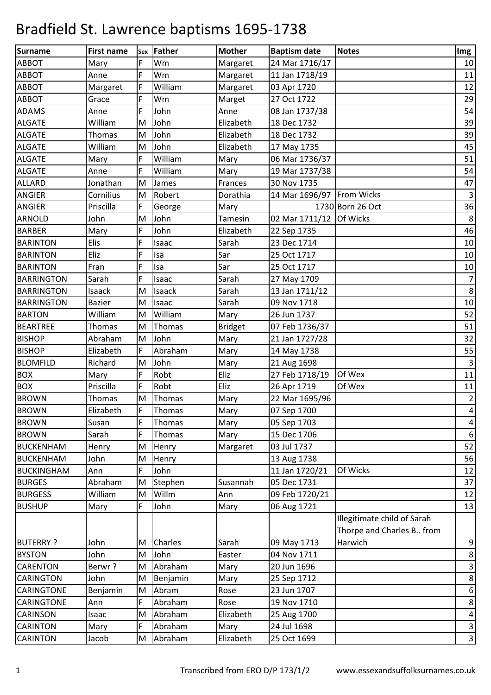| Surname           | <b>First name</b> | Sex                                                                                   | <b>Father</b> | <b>Mother</b>  | <b>Baptism date</b>         | <b>Notes</b>                | Img            |
|-------------------|-------------------|---------------------------------------------------------------------------------------|---------------|----------------|-----------------------------|-----------------------------|----------------|
| <b>ABBOT</b>      | Mary              | F                                                                                     | Wm            | Margaret       | 24 Mar 1716/17              |                             | 10             |
| <b>ABBOT</b>      | Anne              | F                                                                                     | Wm            | Margaret       | 11 Jan 1718/19              |                             | 11             |
| <b>ABBOT</b>      | Margaret          | F                                                                                     | William       | Margaret       | 03 Apr 1720                 |                             | 12             |
| <b>ABBOT</b>      | Grace             | F                                                                                     | Wm            | Marget         | 27 Oct 1722                 |                             | 29             |
| <b>ADAMS</b>      | Anne              | F                                                                                     | John          | Anne           | 08 Jan 1737/38              |                             | 54             |
| <b>ALGATE</b>     | William           | M                                                                                     | John          | Elizabeth      | 18 Dec 1732                 |                             | 39             |
| <b>ALGATE</b>     | Thomas            | $\mathsf{M}% _{T}=\mathsf{M}_{T}\!\left( a,b\right) ,\ \mathsf{M}_{T}=\mathsf{M}_{T}$ | John          | Elizabeth      | 18 Dec 1732                 |                             | 39             |
| <b>ALGATE</b>     | William           | M                                                                                     | John          | Elizabeth      | 17 May 1735                 |                             | 45             |
| <b>ALGATE</b>     | Mary              | F                                                                                     | William       | Mary           | 06 Mar 1736/37              |                             | 51             |
| <b>ALGATE</b>     | Anne              | F                                                                                     | William       | Mary           | 19 Mar 1737/38              |                             | 54             |
| <b>ALLARD</b>     | Jonathan          | M                                                                                     | James         | Frances        | 30 Nov 1735                 |                             | 47             |
| <b>ANGIER</b>     | Cornilius         | M                                                                                     | Robert        | Dorathia       | 14 Mar 1696/97   From Wicks |                             | $\mathsf 3$    |
| <b>ANGIER</b>     | Priscilla         | F                                                                                     | George        | Mary           |                             | 1730 Born 26 Oct            | 36             |
| <b>ARNOLD</b>     | John              | M                                                                                     | John          | Tamesin        | 02 Mar 1711/12 Of Wicks     |                             | 8              |
| <b>BARBER</b>     | Mary              | F                                                                                     | John          | Elizabeth      | 22 Sep 1735                 |                             | 46             |
| <b>BARINTON</b>   | Elis              | F                                                                                     | Isaac         | Sarah          | 23 Dec 1714                 |                             | $10\,$         |
| <b>BARINTON</b>   | Eliz              | F                                                                                     | Isa           | Sar            | 25 Oct 1717                 |                             | 10             |
| <b>BARINTON</b>   | Fran              | F                                                                                     | Isa           | Sar            | 25 Oct 1717                 |                             | 10             |
| <b>BARRINGTON</b> | Sarah             | F                                                                                     | Isaac         | Sarah          | 27 May 1709                 |                             | $\overline{7}$ |
| <b>BARRINGTON</b> | Isaack            | M                                                                                     | Isaack        | Sarah          | 13 Jan 1711/12              |                             | $\,8\,$        |
| <b>BARRINGTON</b> | <b>Bazier</b>     | M                                                                                     | Isaac         | Sarah          | 09 Nov 1718                 |                             | 10             |
| <b>BARTON</b>     | William           | M                                                                                     | William       | Mary           | 26 Jun 1737                 |                             | 52             |
| <b>BEARTREE</b>   | <b>Thomas</b>     | M                                                                                     | Thomas        | <b>Bridget</b> | 07 Feb 1736/37              |                             | 51             |
| <b>BISHOP</b>     | Abraham           | M                                                                                     | John          | Mary           | 21 Jan 1727/28              |                             | 32             |
| <b>BISHOP</b>     | Elizabeth         | F                                                                                     | Abraham       | Mary           | 14 May 1738                 |                             | 55             |
| <b>BLOMFILD</b>   | Richard           | M                                                                                     | John          | Mary           | 21 Aug 1698                 |                             | $\mathsf 3$    |
| <b>BOX</b>        | Mary              | F                                                                                     | Robt          | Eliz           | 27 Feb 1718/19              | Of Wex                      | 11             |
| <b>BOX</b>        | Priscilla         | F                                                                                     | Robt          | Eliz           | 26 Apr 1719                 | Of Wex                      | $11\,$         |
| <b>BROWN</b>      | Thomas            | M                                                                                     | Thomas        | Mary           | 22 Mar 1695/96              |                             | $\overline{2}$ |
| <b>BROWN</b>      | Elizabeth         | F                                                                                     | Thomas        | Mary           | 07 Sep 1700                 |                             | $\overline{4}$ |
| <b>BROWN</b>      | Susan             | F                                                                                     | Thomas        | Mary           | 05 Sep 1703                 |                             | 4              |
| <b>BROWN</b>      | Sarah             | F                                                                                     | Thomas        | Mary           | 15 Dec 1706                 |                             | 6              |
| <b>BUCKENHAM</b>  | Henry             | M                                                                                     | Henry         | Margaret       | 03 Jul 1737                 |                             | 52             |
| <b>BUCKENHAM</b>  | John              | M                                                                                     | Henry         |                | 13 Aug 1738                 |                             | 56             |
| <b>BUCKINGHAM</b> | Ann               | F                                                                                     | John          |                | 11 Jan 1720/21              | Of Wicks                    | 12             |
| <b>BURGES</b>     | Abraham           | M                                                                                     | Stephen       | Susannah       | 05 Dec 1731                 |                             | 37             |
| <b>BURGESS</b>    | William           | M                                                                                     | Willm         | Ann            | 09 Feb 1720/21              |                             | 12             |
| <b>BUSHUP</b>     | Mary              | F                                                                                     | John          | Mary           | 06 Aug 1721                 |                             | 13             |
|                   |                   |                                                                                       |               |                |                             | Illegitimate child of Sarah |                |
|                   |                   |                                                                                       |               |                |                             | Thorpe and Charles B from   |                |
| <b>BUTERRY?</b>   | John              | M                                                                                     | Charles       | Sarah          | 09 May 1713                 | Harwich                     | 9              |
| <b>BYSTON</b>     | John              | M                                                                                     | John          | Easter         | 04 Nov 1711                 |                             | 8              |
| <b>CARENTON</b>   | Berwr?            | M                                                                                     | Abraham       | Mary           | 20 Jun 1696                 |                             | $\mathbf{3}$   |
| <b>CARINGTON</b>  | John              | M                                                                                     | Benjamin      | Mary           | 25 Sep 1712                 |                             | 8              |
| <b>CARINGTONE</b> | Benjamin          | M                                                                                     | Abram         | Rose           | 23 Jun 1707                 |                             | 6              |
| <b>CARINGTONE</b> | Ann               | F                                                                                     | Abraham       | Rose           | 19 Nov 1710                 |                             | $\,8\,$        |
| <b>CARINSON</b>   | Isaac             | M                                                                                     | Abraham       | Elizabeth      | 25 Aug 1700                 |                             | 4              |
| <b>CARINTON</b>   | Mary              | F                                                                                     | Abraham       | Mary           | 24 Jul 1698                 |                             | 3              |
| <b>CARINTON</b>   | Jacob             | M                                                                                     | Abraham       | Elizabeth      | 25 Oct 1699                 |                             | $\mathbf{3}$   |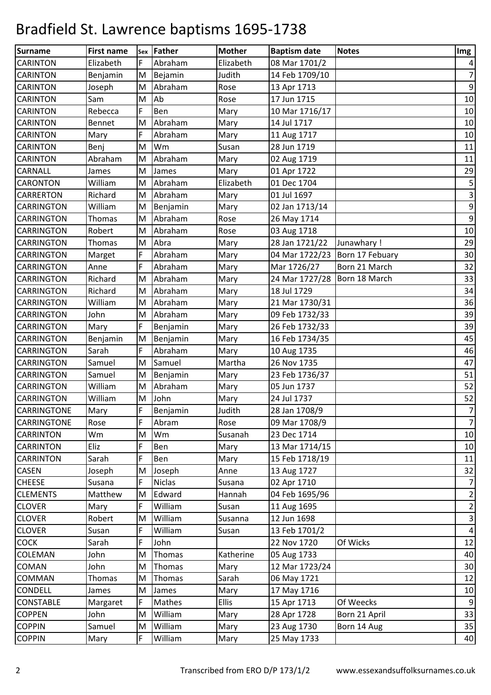| <b>Surname</b>     | <b>First name</b> | Sex       | <b>Father</b> | <b>Mother</b> | <b>Baptism date</b>              | <b>Notes</b>  | Img                     |
|--------------------|-------------------|-----------|---------------|---------------|----------------------------------|---------------|-------------------------|
| <b>CARINTON</b>    | Elizabeth         | F         | Abraham       | Elizabeth     | 08 Mar 1701/2                    |               | 4                       |
| <b>CARINTON</b>    | Benjamin          | M         | Bejamin       | Judith        | 14 Feb 1709/10                   |               | $\overline{7}$          |
| <b>CARINTON</b>    | Joseph            | M         | Abraham       | Rose          | 13 Apr 1713                      |               | $\boldsymbol{9}$        |
| <b>CARINTON</b>    | Sam               | M         | Ab            | Rose          | 17 Jun 1715                      |               | $10\,$                  |
| <b>CARINTON</b>    | Rebecca           | F         | Ben           | Mary          | 10 Mar 1716/17                   |               | $10\,$                  |
| <b>CARINTON</b>    | Bennet            | M         | Abraham       | Mary          | 14 Jul 1717                      |               | 10                      |
| <b>CARINTON</b>    | Mary              | F         | Abraham       | Mary          | 11 Aug 1717                      |               | $10\,$                  |
| <b>CARINTON</b>    | Benj              | M         | Wm            | Susan         | 28 Jun 1719                      |               | 11                      |
| <b>CARINTON</b>    | Abraham           | M         | Abraham       | Mary          | 02 Aug 1719                      |               | 11                      |
| <b>CARNALL</b>     | James             | M         | James         | Mary          | 01 Apr 1722                      |               | 29                      |
| <b>CARONTON</b>    | William           | M         | Abraham       | Elizabeth     | 01 Dec 1704                      |               | 5                       |
| <b>CARRERTON</b>   | Richard           | M         | Abraham       | Mary          | 01 Jul 1697                      |               | 3                       |
| <b>CARRINGTON</b>  | William           | M         | Benjamin      | Mary          | 02 Jan 1713/14                   |               | 9                       |
| <b>CARRINGTON</b>  | <b>Thomas</b>     | M         | Abraham       | Rose          | 26 May 1714                      |               | $\boldsymbol{9}$        |
| <b>CARRINGTON</b>  | Robert            | M         | Abraham       | Rose          | 03 Aug 1718                      |               | 10                      |
| <b>CARRINGTON</b>  | Thomas            | M         | Abra          | Mary          | 28 Jan 1721/22                   | Junawhary !   | 29                      |
| <b>CARRINGTON</b>  | Marget            | F         | Abraham       | Mary          | 04 Mar 1722/23   Born 17 Febuary |               | 30                      |
| <b>CARRINGTON</b>  | Anne              | F         | Abraham       | Mary          | Mar 1726/27                      | Born 21 March | 32                      |
| <b>CARRINGTON</b>  | Richard           | M         | Abraham       | Mary          | 24 Mar 1727/28   Born 18 March   |               | 33                      |
| <b>CARRINGTON</b>  | Richard           | M         | Abraham       | Mary          | 18 Jul 1729                      |               | 34                      |
| <b>CARRINGTON</b>  | William           | M         | Abraham       | Mary          | 21 Mar 1730/31                   |               | 36                      |
| <b>CARRINGTON</b>  | John              | M         | Abraham       | Mary          | 09 Feb 1732/33                   |               | 39                      |
| <b>CARRINGTON</b>  | Mary              | F         | Benjamin      | Mary          | 26 Feb 1732/33                   |               | 39                      |
| <b>CARRINGTON</b>  | Benjamin          | M         | Benjamin      | Mary          | 16 Feb 1734/35                   |               | 45                      |
| <b>CARRINGTON</b>  | Sarah             | F         | Abraham       | Mary          | 10 Aug 1735                      |               | 46                      |
| <b>CARRINGTON</b>  | Samuel            | M         | Samuel        | Martha        | 26 Nov 1735                      |               | 47                      |
| <b>CARRINGTON</b>  | Samuel            | M         | Benjamin      | Mary          | 23 Feb 1736/37                   |               | 51                      |
| <b>CARRINGTON</b>  | William           | M         | Abraham       | Mary          | 05 Jun 1737                      |               | 52                      |
| <b>CARRINGTON</b>  | William           | M         | John          | Mary          | 24 Jul 1737                      |               | 52                      |
| <b>CARRINGTONE</b> | Mary              | F         | Benjamin      | Judith        | 28 Jan 1708/9                    |               | $\overline{7}$          |
| <b>CARRINGTONE</b> | Rose              | F         | Abram         | Rose          | 09 Mar 1708/9                    |               | $\overline{7}$          |
| <b>CARRINTON</b>   | Wm                | M         | Wm            | Susanah       | 23 Dec 1714                      |               | 10                      |
| <b>CARRINTON</b>   | Eliz              | F         | Ben           | Mary          | 13 Mar 1714/15                   |               | $10\,$                  |
| <b>CARRINTON</b>   | Sarah             | F         | Ben           | Mary          | 15 Feb 1718/19                   |               | 11                      |
| <b>CASEN</b>       | Joseph            | M         | Joseph        | Anne          | 13 Aug 1727                      |               | 32                      |
| <b>CHEESE</b>      | Susana            | F         | <b>Niclas</b> | Susana        | 02 Apr 1710                      |               | $\overline{7}$          |
| <b>CLEMENTS</b>    | Matthew           | M         | Edward        | Hannah        | 04 Feb 1695/96                   |               | $\overline{\mathbf{c}}$ |
| <b>CLOVER</b>      | Mary              | F         | William       | Susan         | 11 Aug 1695                      |               | $\overline{2}$          |
| <b>CLOVER</b>      | Robert            | M         | William       | Susanna       | 12 Jun 1698                      |               | 3                       |
| <b>CLOVER</b>      | Susan             | F         | William       | Susan         | 13 Feb 1701/2                    |               | $\pmb{4}$               |
| <b>COCK</b>        | Sarah             | F         | John          |               | 22 Nov 1720                      | Of Wicks      | 12                      |
| <b>COLEMAN</b>     | John              | M         | Thomas        | Katherine     | 05 Aug 1733                      |               | 40                      |
| <b>COMAN</b>       | John              | M         | Thomas        | Mary          | 12 Mar 1723/24                   |               | 30                      |
| <b>COMMAN</b>      | Thomas            | M         | Thomas        | Sarah         | 06 May 1721                      |               | 12                      |
| <b>CONDELL</b>     | James             | M         | James         | Mary          | 17 May 1716                      |               | 10                      |
| <b>CONSTABLE</b>   | Margaret          | F         | Mathes        | <b>Ellis</b>  | 15 Apr 1713                      | Of Weecks     | $\boldsymbol{9}$        |
| <b>COPPEN</b>      | John              | M         | William       | Mary          | 28 Apr 1728                      | Born 21 April | 33                      |
| <b>COPPIN</b>      | Samuel            | ${\sf M}$ | William       | Mary          | 23 Aug 1730                      | Born 14 Aug   | 35                      |
| <b>COPPIN</b>      | Mary              | F         | William       | Mary          | 25 May 1733                      |               | 40                      |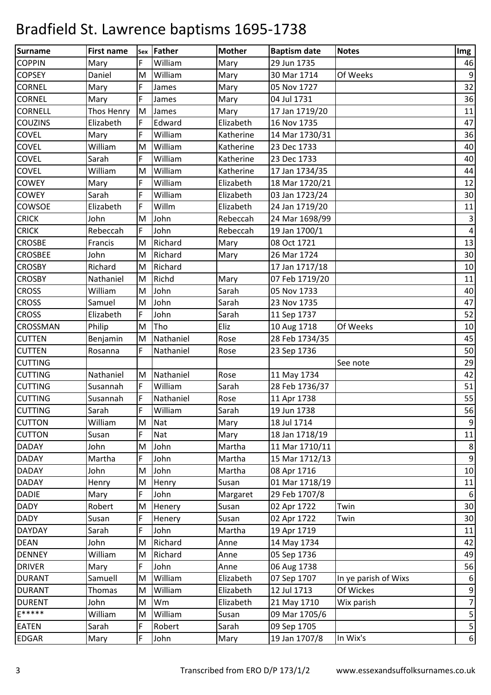| <b>Surname</b>  | <b>First name</b> | <b>Sex</b>                                                                            | Father     | <b>Mother</b> | <b>Baptism date</b> | <b>Notes</b>         | Img              |
|-----------------|-------------------|---------------------------------------------------------------------------------------|------------|---------------|---------------------|----------------------|------------------|
| <b>COPPIN</b>   | Mary              | F                                                                                     | William    | Mary          | 29 Jun 1735         |                      | 46               |
| <b>COPSEY</b>   | Daniel            | M                                                                                     | William    | Mary          | 30 Mar 1714         | Of Weeks             | 9                |
| <b>CORNEL</b>   | Mary              | F                                                                                     | James      | Mary          | 05 Nov 1727         |                      | 32               |
| <b>CORNEL</b>   | Mary              | F                                                                                     | James      | Mary          | 04 Jul 1731         |                      | 36               |
| <b>CORNELL</b>  | Thos Henry        | M                                                                                     | James      | Mary          | 17 Jan 1719/20      |                      | 11               |
| <b>COUZINS</b>  | Elizabeth         | F                                                                                     | Edward     | Elizabeth     | 16 Nov 1735         |                      | 47               |
| <b>COVEL</b>    | Mary              | F                                                                                     | William    | Katherine     | 14 Mar 1730/31      |                      | 36               |
| <b>COVEL</b>    | William           | M                                                                                     | William    | Katherine     | 23 Dec 1733         |                      | 40               |
| <b>COVEL</b>    | Sarah             | F                                                                                     | William    | Katherine     | 23 Dec 1733         |                      | 40               |
| <b>COVEL</b>    | William           | M                                                                                     | William    | Katherine     | 17 Jan 1734/35      |                      | 44               |
| <b>COWEY</b>    | Mary              | F                                                                                     | William    | Elizabeth     | 18 Mar 1720/21      |                      | 12               |
| <b>COWEY</b>    | Sarah             | F                                                                                     | William    | Elizabeth     | 03 Jan 1723/24      |                      | 30               |
| <b>COWSOE</b>   | Elizabeth         | F                                                                                     | Willm      | Elizabeth     | 24 Jan 1719/20      |                      | 11               |
| <b>CRICK</b>    | John              | $\mathsf{M}% _{T}=\mathsf{M}_{T}\!\left( a,b\right) ,\ \mathsf{M}_{T}=\mathsf{M}_{T}$ | John       | Rebeccah      | 24 Mar 1698/99      |                      | $\mathbf{3}$     |
| <b>CRICK</b>    | Rebeccah          | F                                                                                     | John       | Rebeccah      | 19 Jan 1700/1       |                      | 4                |
| <b>CROSBE</b>   | Francis           | $\mathsf{M}% _{T}=\mathsf{M}_{T}\!\left( a,b\right) ,\ \mathsf{M}_{T}=\mathsf{M}_{T}$ | Richard    | Mary          | 08 Oct 1721         |                      | 13               |
| <b>CROSBEE</b>  | John              | M                                                                                     | Richard    | Mary          | 26 Mar 1724         |                      | 30               |
| <b>CROSBY</b>   | Richard           | M                                                                                     | Richard    |               | 17 Jan 1717/18      |                      | 10               |
| <b>CROSBY</b>   | Nathaniel         | M                                                                                     | Richd      | Mary          | 07 Feb 1719/20      |                      | 11               |
| <b>CROSS</b>    | William           | M                                                                                     | John       | Sarah         | 05 Nov 1733         |                      | 40               |
| <b>CROSS</b>    | Samuel            | ${\sf M}$                                                                             | John       | Sarah         | 23 Nov 1735         |                      | 47               |
| <b>CROSS</b>    | Elizabeth         | F                                                                                     | John       | Sarah         | 11 Sep 1737         |                      | 52               |
| <b>CROSSMAN</b> | Philip            | M                                                                                     | Tho        | Eliz          | 10 Aug 1718         | Of Weeks             | $10\,$           |
| <b>CUTTEN</b>   | Benjamin          | M                                                                                     | Nathaniel  | Rose          | 28 Feb 1734/35      |                      | 45               |
| <b>CUTTEN</b>   | Rosanna           | F                                                                                     | Nathaniel  | Rose          | 23 Sep 1736         |                      | 50               |
| <b>CUTTING</b>  |                   |                                                                                       |            |               |                     | See note             | 29               |
| <b>CUTTING</b>  | Nathaniel         | M                                                                                     | Nathaniel  | Rose          | 11 May 1734         |                      | 42               |
| <b>CUTTING</b>  | Susannah          | $\mathsf F$                                                                           | William    | Sarah         | 28 Feb 1736/37      |                      | 51               |
| <b>CUTTING</b>  | Susannah          | F                                                                                     | Nathaniel  | Rose          | 11 Apr 1738         |                      | 55               |
| <b>CUTTING</b>  | Sarah             | F                                                                                     | William    | Sarah         | 19 Jun 1738         |                      | 56               |
| <b>CUTTON</b>   | William           | M                                                                                     | <b>Nat</b> | Mary          | 18 Jul 1714         |                      | $\boldsymbol{9}$ |
| <b>CUTTON</b>   | Susan             | F                                                                                     | Nat        | Mary          | 18 Jan 1718/19      |                      | 11               |
| <b>DADAY</b>    | John              | M                                                                                     | John       | Martha        | 11 Mar 1710/11      |                      | 8                |
| <b>DADAY</b>    | Martha            | F                                                                                     | John       | Martha        | 15 Mar 1712/13      |                      | $\boldsymbol{9}$ |
| <b>DADAY</b>    | John              | M                                                                                     | John       | Martha        | 08 Apr 1716         |                      | 10               |
| <b>DADAY</b>    | Henry             | M                                                                                     | Henry      | Susan         | 01 Mar 1718/19      |                      | 11               |
| <b>DADIE</b>    | Mary              | F                                                                                     | John       | Margaret      | 29 Feb 1707/8       |                      | $\boldsymbol{6}$ |
| <b>DADY</b>     | Robert            | M                                                                                     | Henery     | Susan         | 02 Apr 1722         | Twin                 | 30               |
| <b>DADY</b>     | Susan             | F                                                                                     | Henery     | Susan         | 02 Apr 1722         | Twin                 | 30               |
| <b>DAYDAY</b>   | Sarah             | F                                                                                     | John       | Martha        | 19 Apr 1719         |                      | 11               |
| <b>DEAN</b>     | John              | M                                                                                     | Richard    | Anne          | 14 May 1734         |                      | 42               |
| <b>DENNEY</b>   | William           | M                                                                                     | Richard    | Anne          | 05 Sep 1736         |                      | 49               |
| <b>DRIVER</b>   | Mary              | F                                                                                     | John       | Anne          | 06 Aug 1738         |                      | 56               |
| <b>DURANT</b>   | Samuell           | M                                                                                     | William    | Elizabeth     | 07 Sep 1707         | In ye parish of Wixs | $\boldsymbol{6}$ |
| <b>DURANT</b>   | Thomas            | M                                                                                     | William    | Elizabeth     | 12 Jul 1713         | Of Wickes            | 9                |
| <b>DURENT</b>   | John              | M                                                                                     | Wm         | Elizabeth     | 21 May 1710         | Wix parish           | $\overline{7}$   |
| E*****          | William           | M                                                                                     | William    | Susan         | 09 Mar 1705/6       |                      | 5                |
| <b>EATEN</b>    | Sarah             | F                                                                                     | Robert     | Sarah         | 09 Sep 1705         |                      | 5                |
| <b>EDGAR</b>    | Mary              | F                                                                                     | John       | Mary          | 19 Jan 1707/8       | In Wix's             | $\boldsymbol{6}$ |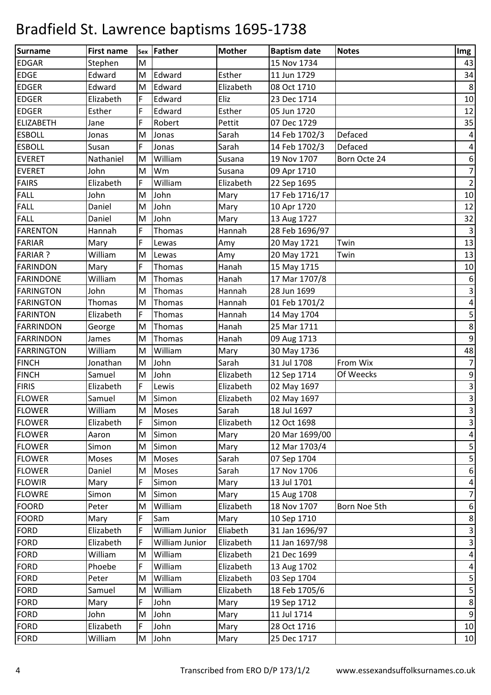| <b>Surname</b>    | <b>First name</b> |           | sex Father     | <b>Mother</b> | <b>Baptism date</b> | <b>Notes</b> | Img                       |
|-------------------|-------------------|-----------|----------------|---------------|---------------------|--------------|---------------------------|
| <b>EDGAR</b>      | Stephen           | M         |                |               | 15 Nov 1734         |              | 43                        |
| <b>EDGE</b>       | Edward            | M         | Edward         | Esther        | 11 Jun 1729         |              | 34                        |
| <b>EDGER</b>      | Edward            | ${\sf M}$ | Edward         | Elizabeth     | 08 Oct 1710         |              | $\,8\,$                   |
| <b>EDGER</b>      | Elizabeth         | F         | Edward         | Eliz          | 23 Dec 1714         |              | 10                        |
| <b>EDGER</b>      | Esther            | F         | Edward         | Esther        | 05 Jun 1720         |              | 12                        |
| <b>ELIZABETH</b>  | Jane              | F         | Robert         | Pettit        | 07 Dec 1729         |              | 35                        |
| <b>ESBOLL</b>     | Jonas             | M         | Jonas          | Sarah         | 14 Feb 1702/3       | Defaced      | 4                         |
| <b>ESBOLL</b>     | Susan             | F         | Jonas          | Sarah         | 14 Feb 1702/3       | Defaced      | 4                         |
| <b>EVERET</b>     | Nathaniel         | M         | William        | Susana        | 19 Nov 1707         | Born Octe 24 | $\boldsymbol{6}$          |
| <b>EVERET</b>     | John              | M         | Wm             | Susana        | 09 Apr 1710         |              | $\overline{7}$            |
| <b>FAIRS</b>      | Elizabeth         | F         | William        | Elizabeth     | 22 Sep 1695         |              | $\mathbf 2$               |
| <b>FALL</b>       | John              | M         | John           | Mary          | 17 Feb 1716/17      |              | 10                        |
| <b>FALL</b>       | Daniel            | M         | John           | Mary          | 10 Apr 1720         |              | 12                        |
| <b>FALL</b>       | Daniel            | M         | John           | Mary          | 13 Aug 1727         |              | 32                        |
| <b>FARENTON</b>   | Hannah            | F         | Thomas         | Hannah        | 28 Feb 1696/97      |              | $\mathsf 3$               |
| <b>FARIAR</b>     | Mary              | F         | Lewas          | Amy           | 20 May 1721         | Twin         | 13                        |
| <b>FARIAR ?</b>   | William           | M         | Lewas          | Amy           | 20 May 1721         | Twin         | 13                        |
| <b>FARINDON</b>   | Mary              | F         | Thomas         | Hanah         | 15 May 1715         |              | 10                        |
| <b>FARINDONE</b>  | William           | M         | Thomas         | Hanah         | 17 Mar 1707/8       |              | $\boldsymbol{6}$          |
| <b>FARINGTON</b>  | John              | M         | Thomas         | Hannah        | 28 Jun 1699         |              | 3                         |
| <b>FARINGTON</b>  | Thomas            | M         | Thomas         | Hannah        | 01 Feb 1701/2       |              | $\pmb{4}$                 |
| <b>FARINTON</b>   | Elizabeth         | F         | Thomas         | Hannah        | 14 May 1704         |              | 5                         |
| <b>FARRINDON</b>  | George            | M         | Thomas         | Hanah         | 25 Mar 1711         |              | 8                         |
| <b>FARRINDON</b>  | James             | M         | Thomas         | Hanah         | 09 Aug 1713         |              | $\boldsymbol{9}$          |
| <b>FARRINGTON</b> | William           | M         | William        | Mary          | 30 May 1736         |              | 48                        |
| <b>FINCH</b>      | Jonathan          | M         | John           | Sarah         | 31 Jul 1708         | From Wix     | $\overline{7}$            |
| <b>FINCH</b>      | Samuel            | M         | John           | Elizabeth     | 12 Sep 1714         | Of Weecks    | 9                         |
| <b>FIRIS</b>      | Elizabeth         | F         | Lewis          | Elizabeth     | 02 May 1697         |              | $\mathsf 3$               |
| <b>FLOWER</b>     | Samuel            | M         | Simon          | Elizabeth     | 02 May 1697         |              | 3                         |
| <b>FLOWER</b>     | William           |           | M Moses        | Sarah         | 18 Jul 1697         |              | $\overline{3}$            |
| <b>FLOWER</b>     | Elizabeth         | F         | Simon          | Elizabeth     | 12 Oct 1698         |              | 3                         |
| <b>FLOWER</b>     | Aaron             | M         | Simon          | Mary          | 20 Mar 1699/00      |              | 4                         |
| <b>FLOWER</b>     | Simon             | M         | Simon          | Mary          | 12 Mar 1703/4       |              | 5                         |
| <b>FLOWER</b>     | Moses             | M         | <b>Moses</b>   | Sarah         | 07 Sep 1704         |              | 5                         |
| <b>FLOWER</b>     | Daniel            | M         | <b>Moses</b>   | Sarah         | 17 Nov 1706         |              | $\boldsymbol{6}$          |
| <b>FLOWIR</b>     | Mary              | F         | Simon          | Mary          | 13 Jul 1701         |              | 4                         |
| <b>FLOWRE</b>     | Simon             | M         | Simon          | Mary          | 15 Aug 1708         |              | $\overline{7}$            |
| <b>FOORD</b>      | Peter             | M         | William        | Elizabeth     | 18 Nov 1707         | Born Noe 5th | $\boldsymbol{6}$          |
| <b>FOORD</b>      | Mary              | F         | Sam            | Mary          | 10 Sep 1710         |              | 8                         |
| <b>FORD</b>       | Elizabeth         | F         | William Junior | Eliabeth      | 31 Jan 1696/97      |              | $\ensuremath{\mathsf{3}}$ |
| <b>FORD</b>       | Elizabeth         | F         | William Junior | Elizabeth     | 11 Jan 1697/98      |              | 3                         |
| <b>FORD</b>       | William           | M         | William        | Elizabeth     | 21 Dec 1699         |              | $\overline{\mathcal{A}}$  |
| <b>FORD</b>       | Phoebe            | F         | William        | Elizabeth     | 13 Aug 1702         |              | 4                         |
| <b>FORD</b>       | Peter             | M         | William        | Elizabeth     | 03 Sep 1704         |              | 5                         |
| <b>FORD</b>       | Samuel            | M         | William        | Elizabeth     | 18 Feb 1705/6       |              | 5                         |
| <b>FORD</b>       | Mary              | F         | John           | Mary          | 19 Sep 1712         |              | 8                         |
| <b>FORD</b>       | John              | M         | John           | Mary          | 11 Jul 1714         |              | $\boldsymbol{9}$          |
| <b>FORD</b>       | Elizabeth         | F         | John           | Mary          | 28 Oct 1716         |              | 10                        |
| <b>FORD</b>       | William           |           | M John         | Mary          | 25 Dec 1717         |              | 10                        |
|                   |                   |           |                |               |                     |              |                           |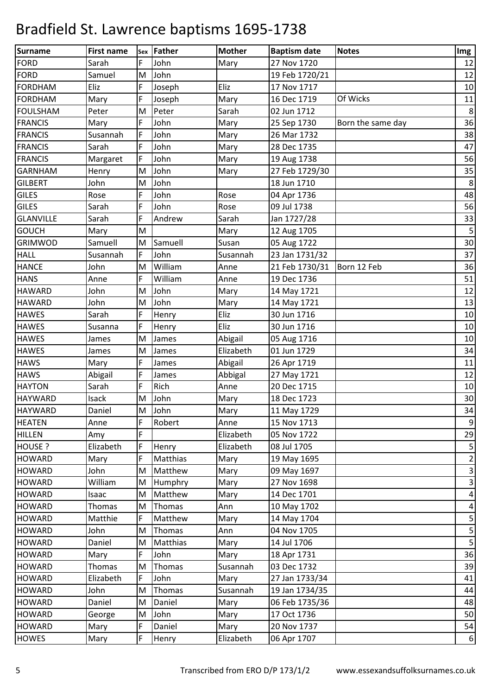| Surname          | <b>First name</b> |   | sex   Father | <b>Mother</b> | <b>Baptism date</b> | <b>Notes</b>      | Img              |
|------------------|-------------------|---|--------------|---------------|---------------------|-------------------|------------------|
| <b>FORD</b>      | Sarah             | F | John         | Mary          | 27 Nov 1720         |                   | 12               |
| FORD             | Samuel            | M | John         |               | 19 Feb 1720/21      |                   | 12               |
| <b>FORDHAM</b>   | Eliz              | F | Joseph       | Eliz          | 17 Nov 1717         |                   | 10               |
| <b>FORDHAM</b>   | Mary              | F | Joseph       | Mary          | 16 Dec 1719         | Of Wicks          | 11               |
| <b>FOULSHAM</b>  | Peter             | M | Peter        | Sarah         | 02 Jun 1712         |                   | 8                |
| <b>FRANCIS</b>   | Mary              | F | John         | Mary          | 25 Sep 1730         | Born the same day | 36               |
| <b>FRANCIS</b>   | Susannah          | F | John         | Mary          | 26 Mar 1732         |                   | 38               |
| <b>FRANCIS</b>   | Sarah             | F | John         | Mary          | 28 Dec 1735         |                   | 47               |
| <b>FRANCIS</b>   | Margaret          | F | John         | Mary          | 19 Aug 1738         |                   | 56               |
| <b>GARNHAM</b>   | Henry             | M | John         | Mary          | 27 Feb 1729/30      |                   | 35               |
| <b>GILBERT</b>   | John              | M | John         |               | 18 Jun 1710         |                   | $\,8\,$          |
| <b>GILES</b>     | Rose              | F | John         | Rose          | 04 Apr 1736         |                   | 48               |
| <b>GILES</b>     | Sarah             | F | John         | Rose          | 09 Jul 1738         |                   | 56               |
| <b>GLANVILLE</b> | Sarah             | F | Andrew       | Sarah         | Jan 1727/28         |                   | 33               |
| <b>GOUCH</b>     | Mary              | M |              | Mary          | 12 Aug 1705         |                   | 5                |
| <b>GRIMWOD</b>   | Samuell           | M | Samuell      | Susan         | 05 Aug 1722         |                   | 30               |
| <b>HALL</b>      | Susannah          | F | John         | Susannah      | 23 Jan 1731/32      |                   | 37               |
| <b>HANCE</b>     | John              | M | William      | Anne          | 21 Feb 1730/31      | Born 12 Feb       | 36               |
| <b>HANS</b>      | Anne              | F | William      | Anne          | 19 Dec 1736         |                   | 51               |
| <b>HAWARD</b>    | John              | M | John         | Mary          | 14 May 1721         |                   | 12               |
| <b>HAWARD</b>    | John              | M | John         | Mary          | 14 May 1721         |                   | 13               |
| <b>HAWES</b>     | Sarah             | F | Henry        | Eliz          | 30 Jun 1716         |                   | 10               |
| <b>HAWES</b>     | Susanna           | F | Henry        | Eliz          | 30 Jun 1716         |                   | 10               |
| <b>HAWES</b>     | James             | M | James        | Abigail       | 05 Aug 1716         |                   | 10               |
| <b>HAWES</b>     | James             | M | James        | Elizabeth     | 01 Jun 1729         |                   | 34               |
| <b>HAWS</b>      | Mary              | F | James        | Abigail       | 26 Apr 1719         |                   | 11               |
| <b>HAWS</b>      | Abigail           | F | James        | Abbigal       | 27 May 1721         |                   | 12               |
| <b>HAYTON</b>    | Sarah             | F | Rich         | Anne          | 20 Dec 1715         |                   | 10               |
| <b>HAYWARD</b>   | Isack             | M | John         | Mary          | 18 Dec 1723         |                   | 30               |
| <b>HAYWARD</b>   | Daniel            | M | John         | Mary          | 11 May 1729         |                   | 34               |
| <b>HEATEN</b>    | Anne              | F | Robert       | Anne          | 15 Nov 1713         |                   | 9                |
| <b>HILLEN</b>    | Amy               | F |              | Elizabeth     | 05 Nov 1722         |                   | 29               |
| HOUSE ?          | Elizabeth         | F | Henry        | Elizabeth     | 08 Jul 1705         |                   | $\mathsf S$      |
| <b>HOWARD</b>    | Mary              | F | Matthias     | Mary          | 19 May 1695         |                   | $\overline{2}$   |
| <b>HOWARD</b>    | John              | M | Matthew      | Mary          | 09 May 1697         |                   | 3                |
| <b>HOWARD</b>    | William           | M | Humphry      | Mary          | 27 Nov 1698         |                   | $\mathsf 3$      |
| <b>HOWARD</b>    | Isaac             | M | Matthew      | Mary          | 14 Dec 1701         |                   | 4                |
| <b>HOWARD</b>    | Thomas            | M | Thomas       | Ann           | 10 May 1702         |                   | 4                |
| <b>HOWARD</b>    | Matthie           | F | Matthew      | Mary          | 14 May 1704         |                   | 5                |
| <b>HOWARD</b>    | John              | M | Thomas       | Ann           | 04 Nov 1705         |                   | $\mathsf S$      |
| <b>HOWARD</b>    | Daniel            | M | Matthias     | Mary          | 14 Jul 1706         |                   | $\mathsf S$      |
| <b>HOWARD</b>    | Mary              | F | John         | Mary          | 18 Apr 1731         |                   | 36               |
| <b>HOWARD</b>    | Thomas            | M | Thomas       | Susannah      | 03 Dec 1732         |                   | 39               |
| <b>HOWARD</b>    | Elizabeth         | F | John         | Mary          | 27 Jan 1733/34      |                   | 41               |
| <b>HOWARD</b>    | John              | M | Thomas       | Susannah      | 19 Jan 1734/35      |                   | 44               |
| <b>HOWARD</b>    | Daniel            | M | Daniel       | Mary          | 06 Feb 1735/36      |                   | 48               |
| <b>HOWARD</b>    | George            | M | John         | Mary          | 17 Oct 1736         |                   | 50               |
| <b>HOWARD</b>    | Mary              | F | Daniel       | Mary          | 20 Nov 1737         |                   | 54               |
| <b>HOWES</b>     | Mary              | F | Henry        | Elizabeth     | 06 Apr 1707         |                   | $\boldsymbol{6}$ |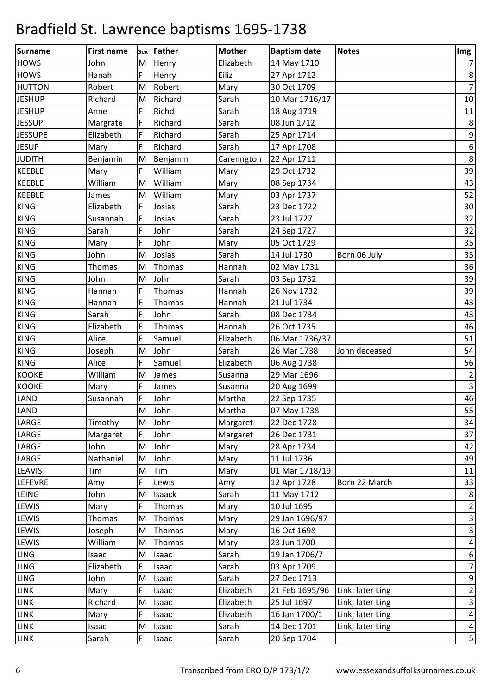| Surname        | <b>First name</b> | Sex       | <b>Father</b> | <b>Mother</b> | <b>Baptism date</b> | <b>Notes</b>     | Img                     |
|----------------|-------------------|-----------|---------------|---------------|---------------------|------------------|-------------------------|
| <b>HOWS</b>    | John              | M         | Henry         | Elizabeth     | 14 May 1710         |                  | $\overline{7}$          |
| <b>HOWS</b>    | Hanah             | F         | Henry         | Eiliz         | 27 Apr 1712         |                  | $\,8\,$                 |
| <b>HUTTON</b>  | Robert            | M         | Robert        | Mary          | 30 Oct 1709         |                  | $\overline{7}$          |
| <b>JESHUP</b>  | Richard           | M         | Richard       | Sarah         | 10 Mar 1716/17      |                  | $10\,$                  |
| <b>JESHUP</b>  | Anne              | F         | Richd         | Sarah         | 18 Aug 1719         |                  | 11                      |
| <b>JESSUP</b>  | Margrate          | F         | Richard       | Sarah         | 08 Jun 1712         |                  | $\,8\,$                 |
| <b>JESSUPE</b> | Elizabeth         | F         | Richard       | Sarah         | 25 Apr 1714         |                  | 9                       |
| <b>JESUP</b>   | Mary              | F         | Richard       | Sarah         | 17 Apr 1708         |                  | $\boldsymbol{6}$        |
| <b>JUDITH</b>  | Benjamin          | M         | Benjamin      | Carenngton    | 22 Apr 1711         |                  | $\,8\,$                 |
| <b>KEEBLE</b>  | Mary              | F         | William       | Mary          | 29 Oct 1732         |                  | 39                      |
| <b>KEEBLE</b>  | William           | M         | William       | Mary          | 08 Sep 1734         |                  | 43                      |
| <b>KEEBLE</b>  | James             | M         | William       | Mary          | 03 Apr 1737         |                  | 52                      |
| <b>KING</b>    | Elizabeth         | F         | Josias        | Sarah         | 23 Dec 1722         |                  | 30                      |
| <b>KING</b>    | Susannah          | F         | Josias        | Sarah         | 23 Jul 1727         |                  | 32                      |
| <b>KING</b>    | Sarah             | F         | John          | Sarah         | 24 Sep 1727         |                  | 32                      |
| <b>KING</b>    | Mary              | F         | John          | Mary          | 05 Oct 1729         |                  | 35                      |
| <b>KING</b>    | John              | M         | Josias        | Sarah         | 14 Jul 1730         | Born 06 July     | 35                      |
| <b>KING</b>    | Thomas            | M         | Thomas        | Hannah        | 02 May 1731         |                  | 36                      |
| <b>KING</b>    | John              | M         | John          | Sarah         | 03 Sep 1732         |                  | 39                      |
| <b>KING</b>    | Hannah            | F         | Thomas        | Hannah        | 26 Nov 1732         |                  | 39                      |
| <b>KING</b>    | Hannah            | F         | Thomas        | Hannah        | 21 Jul 1734         |                  | 43                      |
| <b>KING</b>    | Sarah             | F         | John          | Sarah         | 08 Dec 1734         |                  | 43                      |
| <b>KING</b>    | Elizabeth         | F         | Thomas        | Hannah        | 26 Oct 1735         |                  | 46                      |
| <b>KING</b>    | Alice             | F         | Samuel        | Elizabeth     | 06 Mar 1736/37      |                  | 51                      |
| <b>KING</b>    | Joseph            | M         | John          | Sarah         | 26 Mar 1738         | John deceased    | 54                      |
| <b>KING</b>    | Alice             | F         | Samuel        | Elizabeth     | 06 Aug 1738         |                  | 56                      |
| <b>KOOKE</b>   | William           | M         | James         | Susanna       | 29 Mar 1696         |                  | $\overline{2}$          |
| <b>KOOKE</b>   | Mary              | F         | James         | Susanna       | 20 Aug 1699         |                  | $\overline{\mathbf{3}}$ |
| LAND           | Susannah          | F         | John          | Martha        | 22 Sep 1735         |                  | 46                      |
| LAND           |                   | ${\sf M}$ | John          | Martha        | 07 May 1738         |                  | 55                      |
| LARGE          | Timothy           | M         | John          | Margaret      | 22 Dec 1728         |                  | 34                      |
| LARGE          | Margaret          | F         | John          | Margaret      | 26 Dec 1731         |                  | 37                      |
| LARGE          | John              | M         | John          | Mary          | 28 Apr 1734         |                  | 42                      |
| LARGE          | Nathaniel         | M         | John          | Mary          | 11 Jul 1736         |                  | 49                      |
| <b>LEAVIS</b>  | Tim               | M         | Tim           | Mary          | 01 Mar 1718/19      |                  | 11                      |
| <b>LEFEVRE</b> | Amy               | F         | Lewis         | Amy           | 12 Apr 1728         | Born 22 March    | 33                      |
| LEING          | John              | M         | Isaack        | Sarah         | 11 May 1712         |                  | 8                       |
| <b>LEWIS</b>   | Mary              | F         | Thomas        | Mary          | 10 Jul 1695         |                  | $\overline{2}$          |
| <b>LEWIS</b>   | <b>Thomas</b>     | M         | Thomas        | Mary          | 29 Jan 1696/97      |                  | 3                       |
| <b>LEWIS</b>   | Joseph            | M         | Thomas        | Mary          | 16 Oct 1698         |                  | 3                       |
| <b>LEWIS</b>   | William           | M         | Thomas        | Mary          | 23 Jun 1700         |                  | $\overline{4}$          |
| LING           | Isaac             | M         | Isaac         | Sarah         | 19 Jan 1706/7       |                  | $\boldsymbol{6}$        |
| LING           | Elizabeth         | F         | Isaac         | Sarah         | 03 Apr 1709         |                  | $\overline{7}$          |
| <b>LING</b>    | John              | M         | Isaac         | Sarah         | 27 Dec 1713         |                  | 9                       |
| LINK           | Mary              | F         | Isaac         | Elizabeth     | 21 Feb 1695/96      | Link, later Ling | $\overline{2}$          |
| <b>LINK</b>    | Richard           | M         | Isaac         | Elizabeth     | 25 Jul 1697         | Link, later Ling | 3                       |
| <b>LINK</b>    | Mary              | F         | Isaac         | Elizabeth     | 16 Jan 1700/1       | Link, later Ling | $\pmb{4}$               |
| LINK           | Isaac             | M         | Isaac         | Sarah         | 14 Dec 1701         | Link, later Ling | $\overline{4}$          |
| <b>LINK</b>    | Sarah             | F         | Isaac         | Sarah         | 20 Sep 1704         |                  | $\sqrt{5}$              |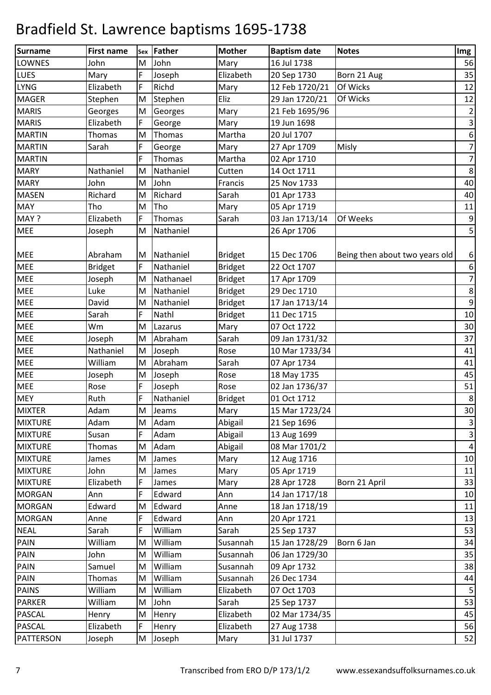| Surname        | <b>First name</b> | <b>Sex</b>                                                                            | <b>Father</b> | <b>Mother</b>  | <b>Baptism date</b> | <b>Notes</b>                   | Img                      |
|----------------|-------------------|---------------------------------------------------------------------------------------|---------------|----------------|---------------------|--------------------------------|--------------------------|
| <b>LOWNES</b>  | John              | M                                                                                     | John          | Mary           | 16 Jul 1738         |                                | 56                       |
| LUES           | Mary              | F                                                                                     | Joseph        | Elizabeth      | 20 Sep 1730         | Born 21 Aug                    | 35                       |
| <b>LYNG</b>    | Elizabeth         | F                                                                                     | Richd         | Mary           | 12 Feb 1720/21      | Of Wicks                       | 12                       |
| <b>MAGER</b>   | Stephen           | $\mathsf{M}% _{T}=\mathsf{M}_{T}\!\left( a,b\right) ,\ \mathsf{M}_{T}=\mathsf{M}_{T}$ | Stephen       | Eliz           | 29 Jan 1720/21      | Of Wicks                       | 12                       |
| <b>MARIS</b>   | Georges           | M                                                                                     | Georges       | Mary           | 21 Feb 1695/96      |                                | $\mathbf 2$              |
| <b>MARIS</b>   | Elizabeth         | F                                                                                     | George        | Mary           | 19 Jun 1698         |                                | 3                        |
| <b>MARTIN</b>  | Thomas            | M                                                                                     | Thomas        | Martha         | 20 Jul 1707         |                                | $\boldsymbol{6}$         |
| <b>MARTIN</b>  | Sarah             | F                                                                                     | George        | Mary           | 27 Apr 1709         | <b>Misly</b>                   | $\overline{7}$           |
| <b>MARTIN</b>  |                   | F                                                                                     | Thomas        | Martha         | 02 Apr 1710         |                                | $\boldsymbol{7}$         |
| <b>MARY</b>    | Nathaniel         | M                                                                                     | Nathaniel     | Cutten         | 14 Oct 1711         |                                | $\,8\,$                  |
| <b>MARY</b>    | John              | M                                                                                     | John          | Francis        | 25 Nov 1733         |                                | 40                       |
| <b>MASEN</b>   | Richard           | M                                                                                     | Richard       | Sarah          | 01 Apr 1733         |                                | 40                       |
| <b>MAY</b>     | Tho               | M                                                                                     | Tho           | Mary           | 05 Apr 1719         |                                | 11                       |
| MAY ?          | Elizabeth         | F                                                                                     | Thomas        | Sarah          | 03 Jan 1713/14      | Of Weeks                       | $\boldsymbol{9}$         |
| <b>MEE</b>     | Joseph            | M                                                                                     | Nathaniel     |                | 26 Apr 1706         |                                | 5                        |
|                |                   |                                                                                       |               |                |                     |                                |                          |
| <b>MEE</b>     | Abraham           | M                                                                                     | Nathaniel     | <b>Bridget</b> | 15 Dec 1706         | Being then about two years old | 6                        |
| MEE            | <b>Bridget</b>    | F                                                                                     | Nathaniel     | <b>Bridget</b> | 22 Oct 1707         |                                | 6                        |
| <b>MEE</b>     | Joseph            | M                                                                                     | Nathanael     | <b>Bridget</b> | 17 Apr 1709         |                                | $\overline{\mathcal{I}}$ |
| <b>MEE</b>     | Luke              | M                                                                                     | Nathaniel     | <b>Bridget</b> | 29 Dec 1710         |                                | 8                        |
| MEE            | David             | M                                                                                     | Nathaniel     | <b>Bridget</b> | 17 Jan 1713/14      |                                | $\boldsymbol{9}$         |
| <b>MEE</b>     | Sarah             | F                                                                                     | Nathl         | <b>Bridget</b> | 11 Dec 1715         |                                | $10\,$                   |
| <b>MEE</b>     | Wm                | M                                                                                     | Lazarus       | Mary           | 07 Oct 1722         |                                | 30                       |
| <b>MEE</b>     | Joseph            | M                                                                                     | Abraham       | Sarah          | 09 Jan 1731/32      |                                | 37                       |
| <b>MEE</b>     | Nathaniel         | M                                                                                     | Joseph        | Rose           | 10 Mar 1733/34      |                                | 41                       |
| <b>MEE</b>     | William           | M                                                                                     | Abraham       | Sarah          | 07 Apr 1734         |                                | 41                       |
| <b>MEE</b>     | Joseph            | M                                                                                     | Joseph        | Rose           | 18 May 1735         |                                | 45                       |
| <b>MEE</b>     | Rose              | F                                                                                     | Joseph        | Rose           | 02 Jan 1736/37      |                                | 51                       |
| <b>MEY</b>     | Ruth              | F                                                                                     | Nathaniel     | <b>Bridget</b> | 01 Oct 1712         |                                | $\,8\,$                  |
| <b>MIXTER</b>  | Adam              | ${\sf M}$                                                                             | Jeams         | Mary           | 15 Mar 1723/24      |                                | $30\,$                   |
| <b>MIXTURE</b> | Adam              | M                                                                                     | Adam          | Abigail        | 21 Sep 1696         |                                | 3                        |
| <b>MIXTURE</b> | Susan             | F                                                                                     | Adam          | Abigail        | 13 Aug 1699         |                                | 3                        |
| <b>MIXTURE</b> | Thomas            | M                                                                                     | Adam          | Abigail        | 08 Mar 1701/2       |                                | $\pmb{4}$                |
| <b>MIXTURE</b> | James             | M                                                                                     | James         | Mary           | 12 Aug 1716         |                                | 10                       |
| <b>MIXTURE</b> | John              | M                                                                                     | James         | Mary           | 05 Apr 1719         |                                | 11                       |
| <b>MIXTURE</b> | Elizabeth         | F                                                                                     | James         | Mary           | 28 Apr 1728         | Born 21 April                  | 33                       |
| <b>MORGAN</b>  | Ann               | F                                                                                     | Edward        | Ann            | 14 Jan 1717/18      |                                | 10                       |
| <b>MORGAN</b>  | Edward            | M                                                                                     | Edward        | Anne           | 18 Jan 1718/19      |                                | 11                       |
| <b>MORGAN</b>  | Anne              | F                                                                                     | Edward        | Ann            | 20 Apr 1721         |                                | 13                       |
| <b>NEAL</b>    | Sarah             | F                                                                                     | William       | Sarah          | 25 Sep 1737         |                                | 53                       |
| <b>PAIN</b>    | William           | M                                                                                     | William       | Susannah       | 15 Jan 1728/29      | Born 6 Jan                     | 34                       |
| <b>PAIN</b>    | John              | M                                                                                     | William       | Susannah       | 06 Jan 1729/30      |                                | 35                       |
| <b>PAIN</b>    | Samuel            | M                                                                                     | William       | Susannah       | 09 Apr 1732         |                                | 38                       |
| <b>PAIN</b>    | Thomas            | M                                                                                     | William       | Susannah       | 26 Dec 1734         |                                | 44                       |
| <b>PAINS</b>   | William           | M                                                                                     | William       | Elizabeth      | 07 Oct 1703         |                                | $\mathsf S$              |
| <b>PARKER</b>  | William           | M                                                                                     | John          | Sarah          | 25 Sep 1737         |                                | 53                       |
| <b>PASCAL</b>  | Henry             | M                                                                                     | Henry         | Elizabeth      | 02 Mar 1734/35      |                                | 45                       |
| <b>PASCAL</b>  | Elizabeth         | F                                                                                     | Henry         | Elizabeth      | 27 Aug 1738         |                                | 56                       |
| PATTERSON      | Joseph            | M                                                                                     | Joseph        | Mary           | 31 Jul 1737         |                                | 52                       |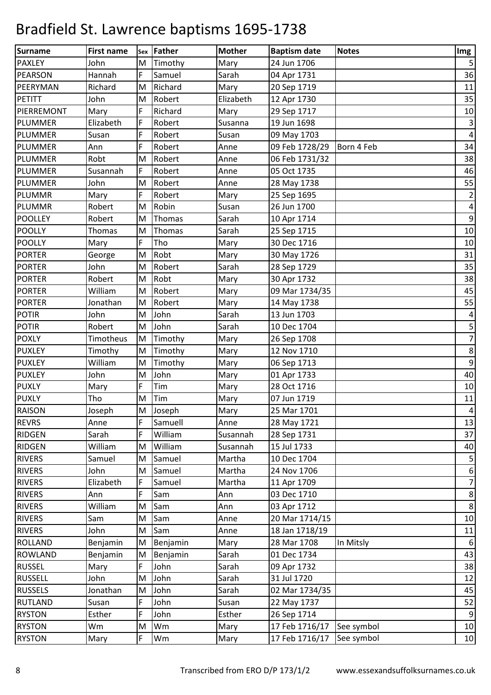| Surname        | <b>First name</b> | Sex       | <b>Father</b> | <b>Mother</b> | <b>Baptism date</b>       | <b>Notes</b> | Img                      |
|----------------|-------------------|-----------|---------------|---------------|---------------------------|--------------|--------------------------|
| <b>PAXLEY</b>  | John              | M         | Timothy       | Mary          | 24 Jun 1706               |              | 5                        |
| <b>PEARSON</b> | Hannah            | F         | Samuel        | Sarah         | 04 Apr 1731               |              | 36                       |
| PEERYMAN       | Richard           | M         | Richard       | Mary          | 20 Sep 1719               |              | 11                       |
| PETITT         | John              | M         | Robert        | Elizabeth     | 12 Apr 1730               |              | 35                       |
| PIERREMONT     | Mary              | F         | Richard       | Mary          | 29 Sep 1717               |              | 10                       |
| <b>PLUMMER</b> | Elizabeth         | F         | Robert        | Susanna       | 19 Jun 1698               |              | 3                        |
| PLUMMER        | Susan             | F         | Robert        | Susan         | 09 May 1703               |              | $\pmb{4}$                |
| <b>PLUMMER</b> | Ann               | F         | Robert        | Anne          | 09 Feb 1728/29            | Born 4 Feb   | 34                       |
| PLUMMER        | Robt              | M         | Robert        | Anne          | 06 Feb 1731/32            |              | 38                       |
| <b>PLUMMER</b> | Susannah          | F         | Robert        | Anne          | 05 Oct 1735               |              | 46                       |
| <b>PLUMMER</b> | John              | M         | Robert        | Anne          | 28 May 1738               |              | 55                       |
| <b>PLUMMR</b>  | Mary              | F         | Robert        | Mary          | 25 Sep 1695               |              | $\overline{\mathbf{c}}$  |
| PLUMMR         | Robert            | M         | Robin         | Susan         | 26 Jun 1700               |              | $\overline{\mathbf{4}}$  |
| <b>POOLLEY</b> | Robert            | M         | Thomas        | Sarah         | 10 Apr 1714               |              | $\boldsymbol{9}$         |
| <b>POOLLY</b>  | Thomas            | M         | Thomas        | Sarah         | 25 Sep 1715               |              | 10                       |
| <b>POOLLY</b>  | Mary              | F         | Tho           | Mary          | 30 Dec 1716               |              | 10                       |
| <b>PORTER</b>  | George            | M         | Robt          | Mary          | 30 May 1726               |              | 31                       |
| <b>PORTER</b>  | John              | M         | Robert        | Sarah         | 28 Sep 1729               |              | 35                       |
| <b>PORTER</b>  | Robert            | M         | Robt          | Mary          | 30 Apr 1732               |              | 38                       |
| <b>PORTER</b>  | William           | M         | Robert        | Mary          | 09 Mar 1734/35            |              | 45                       |
| <b>PORTER</b>  | Jonathan          | M         | Robert        | Mary          | 14 May 1738               |              | 55                       |
| <b>POTIR</b>   | John              | M         | John          | Sarah         | 13 Jun 1703               |              | $\overline{\mathcal{A}}$ |
| <b>POTIR</b>   | Robert            | M         | John          | Sarah         | 10 Dec 1704               |              | 5                        |
| <b>POXLY</b>   | Timotheus         | M         | Timothy       | Mary          | 26 Sep 1708               |              | $\overline{7}$           |
| <b>PUXLEY</b>  | Timothy           | M         | Timothy       | Mary          | 12 Nov 1710               |              | 8                        |
| <b>PUXLEY</b>  | William           | ${\sf M}$ | Timothy       | Mary          | 06 Sep 1713               |              | $\boldsymbol{9}$         |
| <b>PUXLEY</b>  | John              | M         | John          | Mary          | 01 Apr 1733               |              | 40                       |
| <b>PUXLY</b>   | Mary              | F         | Tim           | Mary          | 28 Oct 1716               |              | 10                       |
| <b>PUXLY</b>   | Tho               | M         | Tim           | Mary          | 07 Jun 1719               |              | 11                       |
| <b>RAISON</b>  | Joseph            | ${\sf M}$ | Joseph        | Mary          | 25 Mar 1701               |              | 4                        |
| <b>REVRS</b>   | Anne              | F         | Samuell       | Anne          | 28 May 1721               |              | 13                       |
| <b>RIDGEN</b>  | Sarah             | F         | William       | Susannah      | 28 Sep 1731               |              | 37                       |
| <b>RIDGEN</b>  | William           | M         | William       | Susannah      | 15 Jul 1733               |              | 40                       |
| <b>RIVERS</b>  | Samuel            | M         | Samuel        | Martha        | 10 Dec 1704               |              | 5                        |
| <b>RIVERS</b>  | John              | M         | Samuel        | Martha        | 24 Nov 1706               |              | $\boldsymbol{6}$         |
| <b>RIVERS</b>  | Elizabeth         | F         | Samuel        | Martha        | 11 Apr 1709               |              | $\overline{7}$           |
| <b>RIVERS</b>  | Ann               | F         | Sam           | Ann           | 03 Dec 1710               |              | 8                        |
| <b>RIVERS</b>  | William           | M         | Sam           | Ann           | 03 Apr 1712               |              | $\,8\,$                  |
| <b>RIVERS</b>  | Sam               | M         | Sam           | Anne          | 20 Mar 1714/15            |              | 10                       |
| <b>RIVERS</b>  | John              | M         | Sam           | Anne          | 18 Jan 1718/19            |              | 11                       |
| <b>ROLLAND</b> | Benjamin          | M         | Benjamin      | Mary          | 28 Mar 1708               | In Mitsly    | $\boldsymbol{6}$         |
| <b>ROWLAND</b> | Benjamin          | M         | Benjamin      | Sarah         | 01 Dec 1734               |              | 43                       |
| <b>RUSSEL</b>  | Mary              | F         | John          | Sarah         | 09 Apr 1732               |              | 38                       |
| <b>RUSSELL</b> | John              | M         | John          | Sarah         | 31 Jul 1720               |              | 12                       |
| <b>RUSSELS</b> | Jonathan          | M         | John          | Sarah         | 02 Mar 1734/35            |              | 45                       |
| <b>RUTLAND</b> | Susan             | F         | John          | Susan         | 22 May 1737               |              | 52                       |
| <b>RYSTON</b>  | Esther            | F         | John          | Esther        | 26 Sep 1714               |              | $\boldsymbol{9}$         |
| <b>RYSTON</b>  | Wm                | M         | Wm            | Mary          | 17 Feb 1716/17            | See symbol   | 10                       |
| <b>RYSTON</b>  | Mary              | F         | Wm            | Mary          | 17 Feb 1716/17 See symbol |              | 10                       |
|                |                   |           |               |               |                           |              |                          |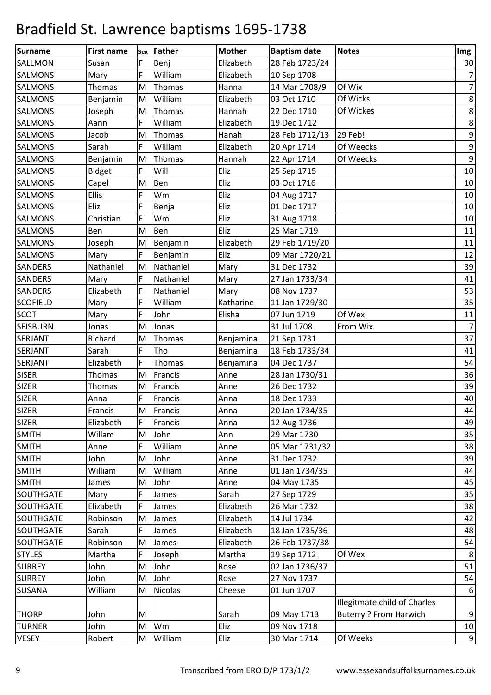| Surname          | <b>First name</b> | Sex       | Father         | <b>Mother</b> | <b>Baptism date</b> | <b>Notes</b>                  | Img              |
|------------------|-------------------|-----------|----------------|---------------|---------------------|-------------------------------|------------------|
| <b>SALLMON</b>   | Susan             | F         | Benj           | Elizabeth     | 28 Feb 1723/24      |                               | 30               |
| <b>SALMONS</b>   | Mary              | F         | William        | Elizabeth     | 10 Sep 1708         |                               | $\boldsymbol{7}$ |
| <b>SALMONS</b>   | Thomas            | M         | Thomas         | Hanna         | 14 Mar 1708/9       | Of Wix                        | $\overline{7}$   |
| <b>SALMONS</b>   | Benjamin          | M         | William        | Elizabeth     | 03 Oct 1710         | Of Wicks                      | $\,8\,$          |
| <b>SALMONS</b>   | Joseph            | M         | Thomas         | Hannah        | 22 Dec 1710         | Of Wickes                     | $\,8\,$          |
| <b>SALMONS</b>   | Aann              | F         | William        | Elizabeth     | 19 Dec 1712         |                               | $\,8\,$          |
| <b>SALMONS</b>   | Jacob             | M         | Thomas         | Hanah         | 28 Feb 1712/13      | 29 Feb!                       | $\boldsymbol{9}$ |
| <b>SALMONS</b>   | Sarah             | F         | William        | Elizabeth     | 20 Apr 1714         | Of Weecks                     | $\boldsymbol{9}$ |
| <b>SALMONS</b>   | Benjamin          | M         | Thomas         | Hannah        | 22 Apr 1714         | Of Weecks                     | $\boldsymbol{9}$ |
| <b>SALMONS</b>   | <b>Bidget</b>     | F         | Will           | Eliz          | 25 Sep 1715         |                               | 10               |
| <b>SALMONS</b>   | Capel             | M         | Ben            | Eliz          | 03 Oct 1716         |                               | 10               |
| <b>SALMONS</b>   | Ellis             | F         | Wm             | Eliz          | 04 Aug 1717         |                               | $10\,$           |
| <b>SALMONS</b>   | Eliz              | F         | Benja          | Eliz          | 01 Dec 1717         |                               | 10               |
| <b>SALMONS</b>   | Christian         | F         | Wm             | Eliz          | 31 Aug 1718         |                               | 10               |
| <b>SALMONS</b>   | Ben               | M         | Ben            | Eliz          | 25 Mar 1719         |                               | $11\,$           |
| <b>SALMONS</b>   | Joseph            | M         | Benjamin       | Elizabeth     | 29 Feb 1719/20      |                               | $11\,$           |
| <b>SALMONS</b>   | Mary              | F         | Benjamin       | Eliz          | 09 Mar 1720/21      |                               | 12               |
| <b>SANDERS</b>   | Nathaniel         | M         | Nathaniel      | Mary          | 31 Dec 1732         |                               | 39               |
| <b>SANDERS</b>   | Mary              | F         | Nathaniel      | Mary          | 27 Jan 1733/34      |                               | 41               |
| <b>SANDERS</b>   | Elizabeth         | F         | Nathaniel      | Mary          | 08 Nov 1737         |                               | 53               |
| <b>SCOFIELD</b>  | Mary              | F         | William        | Katharine     | 11 Jan 1729/30      |                               | 35               |
| <b>SCOT</b>      | Mary              | F         | John           | Elisha        | 07 Jun 1719         | Of Wex                        | $11\,$           |
| <b>SEISBURN</b>  | Jonas             | M         | Jonas          |               | 31 Jul 1708         | From Wix                      | $\overline{7}$   |
| <b>SERJANT</b>   | Richard           | M         | Thomas         | Benjamina     | 21 Sep 1731         |                               | 37               |
| <b>SERJANT</b>   | Sarah             | F         | Tho            | Benjamina     | 18 Feb 1733/34      |                               | 41               |
| <b>SERJANT</b>   | Elizabeth         | F         | Thomas         | Benjamina     | 04 Dec 1737         |                               | 54               |
| <b>SISER</b>     | Thomas            | M         | Francis        | Anne          | 28 Jan 1730/31      |                               | 36               |
| <b>SIZER</b>     | Thomas            | M         | Francis        | Anne          | 26 Dec 1732         |                               | 39               |
| <b>SIZER</b>     | Anna              | F         | Francis        | Anna          | 18 Dec 1733         |                               | 40               |
| <b>SIZER</b>     | Francis           | ${\sf M}$ | Francis        | Anna          | 20 Jan 1734/35      |                               | 44               |
| SIZER            | Elizabeth         | F         | Francis        | Anna          | 12 Aug 1736         |                               | 49               |
| <b>SMITH</b>     | Willam            | M         | John           | Ann           | 29 Mar 1730         |                               | 35               |
| <b>SMITH</b>     | Anne              | F         | William        | Anne          | 05 Mar 1731/32      |                               | 38               |
| <b>SMITH</b>     | John              | M         | John           | Anne          | 31 Dec 1732         |                               | 39               |
| <b>SMITH</b>     | William           | M         | William        | Anne          | 01 Jan 1734/35      |                               | 44               |
| <b>SMITH</b>     | James             | M         | John           | Anne          | 04 May 1735         |                               | 45               |
| <b>SOUTHGATE</b> | Mary              | F         | James          | Sarah         | 27 Sep 1729         |                               | 35               |
| SOUTHGATE        | Elizabeth         | F         | James          | Elizabeth     | 26 Mar 1732         |                               | 38               |
| <b>SOUTHGATE</b> | Robinson          | M         | James          | Elizabeth     | 14 Jul 1734         |                               | 42               |
| SOUTHGATE        | Sarah             | F         | James          | Elizabeth     | 18 Jan 1735/36      |                               | 48               |
| <b>SOUTHGATE</b> | Robinson          | M         | James          | Elizabeth     | 26 Feb 1737/38      |                               | 54               |
| <b>STYLES</b>    | Martha            | F         | Joseph         | Martha        | 19 Sep 1712         | Of Wex                        | 8                |
| <b>SURREY</b>    | John              | M         | John           | Rose          | 02 Jan 1736/37      |                               | 51               |
| <b>SURREY</b>    | John              | M         | John           | Rose          | 27 Nov 1737         |                               | 54               |
| <b>SUSANA</b>    | William           | M         | <b>Nicolas</b> | Cheese        | 01 Jun 1707         |                               | $6\,$            |
|                  |                   |           |                |               |                     | Illegitmate child of Charles  |                  |
| <b>THORP</b>     | John              | M         |                | Sarah         | 09 May 1713         | <b>Buterry ? From Harwich</b> | 9                |
| <b>TURNER</b>    | John              | M         | Wm             | Eliz          | 09 Nov 1718         |                               | 10               |
| <b>VESEY</b>     | Robert            | M         | William        | Eliz          | 30 Mar 1714         | Of Weeks                      | $9\,$            |